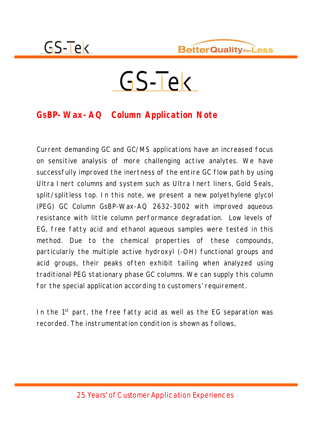

# $GS-TeV$

#### **GsBP-Wax-AQ Column Application Note**

Current demanding GC and GC/MS applications have an increased focus on sensitive analysis of more challenging active analytes. We have successfully improved the inertness of the entire GC flow path by using Ultra Inert columns and system such as Ultra Inert liners, Gold Seals, split/splitless top. In this note, we present a new polyethylene glycol (PEG) GC Column GsBP-Wax-AQ 2632-3002 with improved aqueous resistance with little column performance degradation. Low levels of EG, free fatty acid and ethanol aqueous samples were tested in this method. Due to the chemical properties of these compounds, particularly the multiple active hydroxyl (-OH) functional groups and acid groups, their peaks often exhibit tailing when analyzed using traditional PEG stationary phase GC columns. We can supply this column for the special application according to customers' requirement.

In the 1<sup>st</sup> part, the free fatty acid as well as the EG separation was recorded. The instrumentation condition is shown as follows,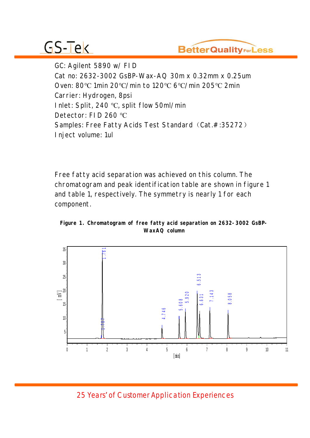

GC: Agilent 5890 w/ FID Cat no: 2632-3002 GsBP-Wax-AQ 30m x 0.32mm x 0.25um Oven: 80°C 1min 20°C/min to 120°C 6°C/min 205°C 2min Carrier: Hydrogen, 8psi Inlet: Split, 240 °C, split flow 50ml/min Detector: FID 260 °C Samples: Free Fatty Acids Test Standard (Cat.#:35272) Inject volume: 1ul

Free fatty acid separation was achieved on this column. The chromatogram and peak identification table are shown in figure 1 and table 1, respectively. The symmetry is nearly 1 for each component.



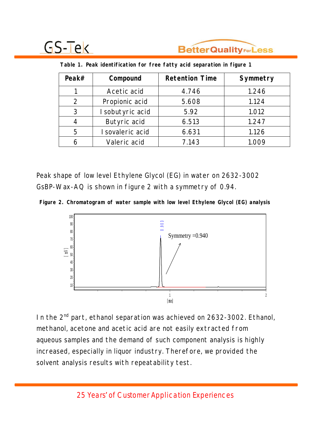

| Peak $#$       | Compound         | <b>Retention Time</b> | Symmetry |
|----------------|------------------|-----------------------|----------|
|                | Acetic acid      | 4.746                 | 1.246    |
| $\overline{2}$ | Propionic acid   | 5.608                 | 1.124    |
| 3              | I sobutyric acid | 5.92                  | 1.012    |
|                | Butyric acid     | 6.513                 | 1.247    |
| 5              | I sovaleric acid | 6.631                 | 1.126    |
|                | Valeric acid     | 7.143                 | 1.009    |

 **Table 1. Peak identification for free fatty acid separation in figure 1**

Peak shape of low level Ethylene Glycol (EG) in water on 2632-3002 GsBP-Wax-AQ is shown in figure 2 with a symmetry of 0.94.





In the 2<sup>nd</sup> part, ethanol separation was achieved on 2632-3002. Ethanol, methanol, acetone and acetic acid are not easily extracted from aqueous samples and the demand of such component analysis is highly increased, especially in liquor industry. Therefore, we provided the solvent analysis results with repeatability test.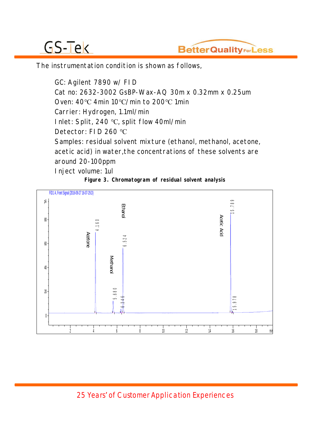

The instrumentation condition is shown as follows,

GC: Agilent 7890 w/ FID Cat no: 2632-3002 GsBP-Wax-AQ 30m x 0.32mm x 0.25um Oven:  $40^{\circ}$ C 4min 10 $^{\circ}$ C/min to 200 $^{\circ}$ C 1min Carrier: Hydrogen, 1.1ml/min Inlet: Split, 240 °C, split flow 40ml/min Detector: FID 260 °C Samples: residual solvent mixture (ethanol, methanol, acetone, acetic acid) in water,the concentrations of these solvents are around 20-100ppm Inject volume: 1ul

**Figure 3. Chromatogram of residual solvent analysis** 

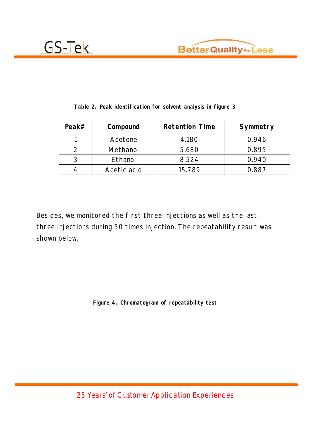



| Peak $#$ | Compound    | <b>Retention Time</b> | Symmetry |
|----------|-------------|-----------------------|----------|
|          | Acetone     | 4.180                 | 0.946    |
|          | Methanol    | 5.680                 | 0.895    |
|          | Ethanol     | 8.524                 | 0.940    |
|          | Acetic acid | 15.789                | 0.887    |

**Table 2. Peak identification for solvent analysis in figure 3**

Besides, we monitored the first three injections as well as the last three injections during 50 times injection. The repeatability result was shown below,

**Figure 4. Chromatogram of repeatability test**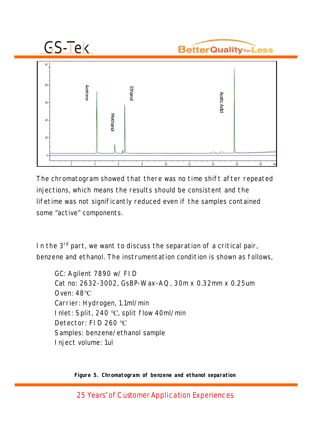



The chromatogram showed that there was no time shift after repeated injections, which means the results should be consistent and the lifetime was not significantly reduced even if the samples contained some "active" components.

In the 3<sup>rd</sup> part, we want to discuss the separation of a critical pair, benzene and ethanol. The instrumentation condition is shown as follows,

GC: Agilent 7890 w/ FID Cat no: 2632-3002, GsBP-Wax-AQ, 30m x 0.32mm x 0.25um Oven:  $48^{\circ}$ C Carrier: Hydrogen, 1.1ml/min I nlet: Split, 240  $^{\circ}$ C, split flow 40ml/min Detector: FID 260 °C Samples: benzene/ethanol sample Inject volume: 1ul

**Figure 5. Chromatogram of benzene and ethanol separation**

25 Years' of Customer Application Experiences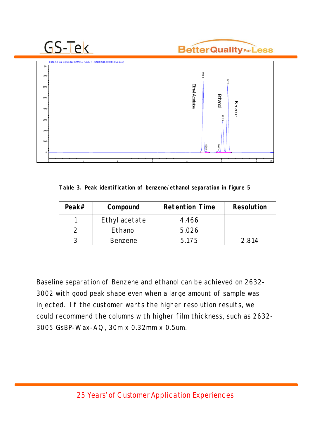#### **BetterQualityForLess**



**Table 3. Peak identification of benzene/ethanol separation in figure 5** 

| Peak $#$ | Compound       | <b>Retention Time</b> | Resolution |
|----------|----------------|-----------------------|------------|
|          | Ethyl acetate  | 4.466                 |            |
|          | Ethanol        | 5.026                 |            |
|          | <b>Benzene</b> | 5.175                 | 2.814      |

Baseline separation of Benzene and ethanol can be achieved on 2632- 3002 with good peak shape even when a large amount of sample was injected. If the customer wants the higher resolution results, we could recommend the columns with higher film thickness, such as 2632- 3005 GsBP-Wax-AQ, 30m x 0.32mm x 0.5um.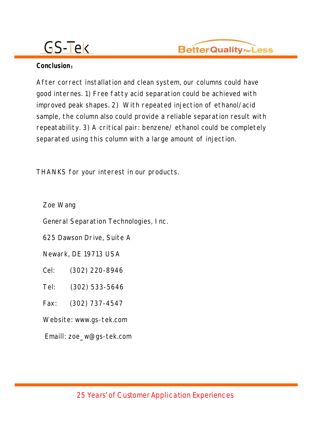

#### Conclusion:

After correct installation and clean system, our columns could have good internes. 1) Free fatty acid separation could be achieved with improved peak shapes. 2) With repeated injection of ethanol/acid sample, the column also could provide a reliable separation result with repeatability. 3) A critical pair: benzene/ ethanol could be completely separated using this column with a large amount of injection.

THANKS for your interest in our products.

Zoe Wang

General Separation Technologies, Inc.

625 Dawson Drive, Suite A

Newark, DE 19713 USA

Cel: (302) 220-8946

Tel: (302) 533-5646

Fax: (302) 737-4547

Website: www.gs-tek.com

Emaill: zoe\_w@gs-tek.com